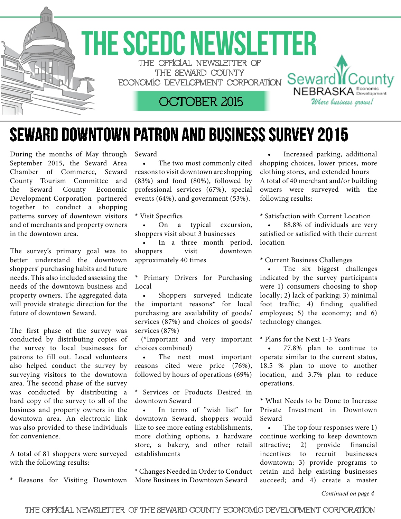

## Seward Downtown Patron and Business survey 2015

During the months of May through September 2015, the Seward Area Chamber of Commerce, Seward County Tourism Committee and the Seward County Economic Development Corporation partnered together to conduct a shopping patterns survey of downtown visitors and of merchants and property owners in the downtown area.

The survey's primary goal was to better understand the downtown shoppers' purchasing habits and future needs. This also included assessing the needs of the downtown business and property owners. The aggregated data will provide strategic direction for the future of downtown Seward.

The first phase of the survey was conducted by distributing copies of the survey to local businesses for patrons to fill out. Local volunteers also helped conduct the survey by surveying visitors to the downtown area. The second phase of the survey was conducted by distributing a hard copy of the survey to all of the business and property owners in the downtown area. An electronic link was also provided to these individuals for convenience.

A total of 81 shoppers were surveyed with the following results:

Reasons for Visiting Downtown

Seward

• The two most commonly cited reasons to visit downtown are shopping (83%) and food (80%), followed by professional services (67%), special events (64%), and government (53%).

\* Visit Specifics

On a typical excursion, shoppers visit about 3 businesses

In a three month period, shoppers visit downtown approximately 40 times

\* Primary Drivers for Purchasing Local

 • Shoppers surveyed indicate the important reasons\* for local purchasing are availability of goods/ services (87%) and choices of goods/ services (87%)

(\*Important and very important choices combined)

The next most important reasons cited were price (76%), followed by hours of operations (69%)

\* Services or Products Desired in downtown Seward

In terms of "wish list" for downtown Seward, shoppers would like to see more eating establishments, more clothing options, a hardware store, a bakery, and other retail establishments

\* Changes Needed in Orderto Conduct More Business in Downtown Seward

Increased parking, additional shopping choices, lower prices, more clothing stores, and extended hours A total of 40 merchant and/or building owners were surveyed with the following results:

\* Satisfaction with Current Location

88.8% of individuals are very satisfied or satisfied with their current location

\* Current Business Challenges

The six biggest challenges indicated by the survey participants were 1) consumers choosing to shop locally; 2) lack of parking; 3) minimal foot traffic; 4) finding qualified employees; 5) the economy; and 6) technology changes.

\* Plans for the Next 1-3 Years

77.8% plan to continue to operate similar to the current status, 18.5 % plan to move to another location, and 3.7% plan to reduce operations.

\* What Needs to be Done to Increase Private Investment in Downtown Seward

• The top four responses were 1) continue working to keep downtown attractive; 2) provide financial incentives to recruit businesses downtown; 3) provide programs to retain and help existing businesses succeed; and 4) create a master

*Continued on page 4*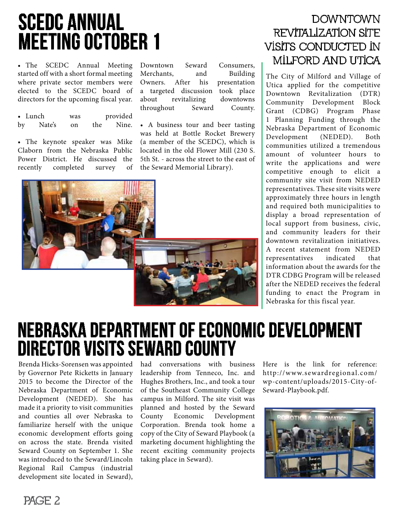# SCEDC Annual Meeting October 1

• The SCEDC Annual Meeting started off with a short formal meeting where private sector members were elected to the SCEDC board of directors for the upcoming fiscal year.

• Lunch was provided by Nate's on the Nine.

• The keynote speaker was Mike Claborn from the Nebraska Public Power District. He discussed the recently completed survey of Downtown Seward Consumers, Merchants, and Building Owners. After his presentation a targeted discussion took place about revitalizing downtowns throughout Seward County.

• A business tour and beer tasting was held at Bottle Rocket Brewery (a member of the SCEDC), which is located in the old Flower Mill (230 S. 5th St. - across the street to the east of the Seward Memorial Library).



### **DOWNTOWN** revitalization site visits conducted in Milford and Utica

The City of Milford and Village of Utica applied for the competitive Downtown Revitalization (DTR) Community Development Block Grant (CDBG) Program Phase 1 Planning Funding through the Nebraska Department of Economic Development (NEDED). Both communities utilized a tremendous amount of volunteer hours to write the applications and were competitive enough to elicit a community site visit from NEDED representatives. These site visits were approximately three hours in length and required both municipalities to display a broad representation of local support from business, civic, and community leaders for their downtown revitalization initiatives. A recent statement from NEDED representatives indicated that information about the awards for the DTR CDBG Program will be released after the NEDED receives the federal funding to enact the Program in Nebraska for this fiscal year.

## Nebraska Department of Economic Development Director visits Seward County

Brenda Hicks-Sorensen was appointed by Governor Pete Ricketts in January 2015 to become the Director of the Nebraska Department of Economic Development (NEDED). She has made it a priority to visit communities and counties all over Nebraska to familiarize herself with the unique economic development efforts going on across the state. Brenda visited Seward County on September 1. She was introduced to the Seward/Lincoln Regional Rail Campus (industrial development site located in Seward),

had conversations with business leadership from Tenneco, Inc. and Hughes Brothers, Inc., and took a tour of the Southeast Community College campus in Milford. The site visit was planned and hosted by the Seward County Economic Development Corporation. Brenda took home a copy of the City of Seward Playbook (a marketing document highlighting the recent exciting community projects taking place in Seward).

Here is the link for reference: http://www.sewardregional.com/ wp-content/uploads/2015-City-of-Seward-Playbook.pdf.



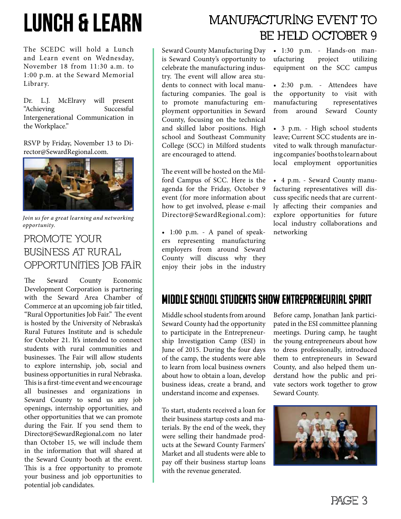# Lunch & Learn

The SCEDC will hold a Lunch and Learn event on Wednesday, November 18 from 11:30 a.m. to 1:00 p.m. at the Seward Memorial Library.

Dr. L.J. McElravy will present "Achieving Successful Intergenerational Communication in the Workplace."

RSVP by Friday, November 13 to Director@SewardRegional.com.



*Join us for a great learning and networking opportunity.* 

#### PROMOTE YOUR Business at Rural Opportunities Job Fair

The Seward County Economic Development Corporation is partnering with the Seward Area Chamber of Commerce at an upcoming job fair titled, "Rural Opportunities Job Fair." The event is hosted by the University of Nebraska's Rural Futures Institute and is schedule for October 21. It's intended to connect students with rural communities and businesses. The Fair will allow students to explore internship, job, social and business opportunities in rural Nebraska. This is a first-time event and we encourage all businesses and organizations in Seward County to send us any job openings, internship opportunities, and other opportunities that we can promote during the Fair. If you send them to Director@SewardRegional.com no later than October 15, we will include them in the information that will shared at the Seward County booth at the event. This is a free opportunity to promote your business and job opportunities to potential job candidates.

## Manufacturing event to be held October 9

Seward County Manufacturing Day is Seward County's opportunity to celebrate the manufacturing industry. The event will allow area students to connect with local manufacturing companies. The goal is to promote manufacturing employment opportunities in Seward County, focusing on the technical and skilled labor positions. High school and Southeast Community College (SCC) in Milford students are encouraged to attend.

The event will be hosted on the Milford Campus of SCC. Here is the agenda for the Friday, October 9 event (for more information about how to get involved, please e-mail Director@SewardRegional.com):

• 1:00 p.m. - A panel of speakers representing manufacturing employers from around Seward County will discuss why they enjoy their jobs in the industry

• 1:30 p.m. - Hands-on manufacturing project utilizing equipment on the SCC campus

• 2:30 p.m. - Attendees have the opportunity to visit with manufacturing representatives from around Seward County

• 3 p.m. - High school students leave; Current SCC students are invited to walk through manufacturing companies' booths to learn about local employment opportunities

• 4 p.m. - Seward County manufacturing representatives will discuss specific needs that are currently affecting their companies and explore opportunities for future local industry collaborations and networking

### Middle school students Show Entrepreneurial Spirit

Middle school students from around Seward County had the opportunity to participate in the Entrepreneurship Investigation Camp (ESI) in June of 2015. During the four days of the camp, the students were able to learn from local business owners about how to obtain a loan, develop business ideas, create a brand, and understand income and expenses.

To start, students received a loan for their business startup costs and materials. By the end of the week, they were selling their handmade products at the Seward County Farmers' Market and all students were able to pay off their business startup loans with the revenue generated.

Before camp, Jonathan Jank participated in the ESI committee planning meetings. During camp, he taught the young entrepreneurs about how to dress professionally, introduced them to entrepreneurs in Seward County, and also helped them understand how the public and private sectors work together to grow Seward County.

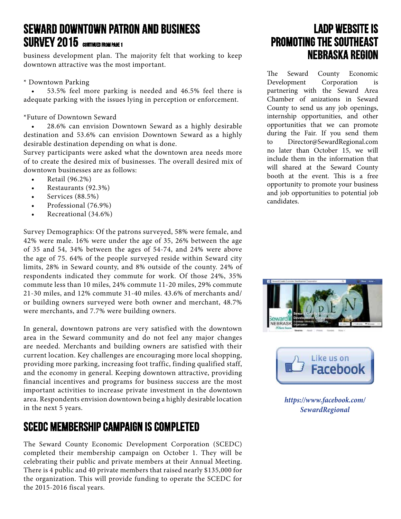#### Seward Downtown Patron and Business SURVEY 2015 CONTINUED FROM PAGE 1

business development plan. The majority felt that working to keep downtown attractive was the most important.

#### \* Downtown Parking

53.5% feel more parking is needed and 46.5% feel there is adequate parking with the issues lying in perception or enforcement.

#### \*Future of Downtown Seward

28.6% can envision Downtown Seward as a highly desirable destination and 53.6% can envision Downtown Seward as a highly desirable destination depending on what is done.

Survey participants were asked what the downtown area needs more of to create the desired mix of businesses. The overall desired mix of downtown businesses are as follows:

- Retail (96.2%)
- Restaurants (92.3%)
- Services (88.5%)
- Professional (76.9%)
- Recreational (34.6%)

Survey Demographics: Of the patrons surveyed, 58% were female, and 42% were male. 16% were under the age of 35, 26% between the age of 35 and 54, 34% between the ages of 54-74, and 24% were above the age of 75. 64% of the people surveyed reside within Seward city limits, 28% in Seward county, and 8% outside of the county. 24% of respondents indicated they commute for work. Of those 24%, 35% commute less than 10 miles, 24% commute 11-20 miles, 29% commute 21-30 miles, and 12% commute 31-40 miles. 43.6% of merchants and/ or building owners surveyed were both owner and merchant, 48.7% were merchants, and 7.7% were building owners.

In general, downtown patrons are very satisfied with the downtown area in the Seward community and do not feel any major changes are needed. Merchants and building owners are satisfied with their current location. Key challenges are encouraging more local shopping, providing more parking, increasing foot traffic, finding qualified staff, and the economy in general. Keeping downtown attractive, providing financial incentives and programs for business success are the most important activities to increase private investment in the downtown area. Respondents envision downtown being a highly desirable location in the next 5 years.

#### SCEDC Membership Campaign is Completed

The Seward County Economic Development Corporation (SCEDC) completed their membership campaign on October 1. They will be celebrating their public and private members at their Annual Meeting. There is 4 public and 40 private members that raised nearly \$135,000 for the organization. This will provide funding to operate the SCEDC for the 2015-2016 fiscal years.

### LADP Website is Promoting the Southeast Nebraska Region

The Seward County Economic Development Corporation is partnering with the Seward Area Chamber of anizations in Seward County to send us any job openings, internship opportunities, and other opportunities that we can promote during the Fair. If you send them to Director@SewardRegional.com no later than October 15, we will include them in the information that will shared at the Seward County booth at the event. This is a free opportunity to promote your business and job opportunities to potential job candidates.





*https://www.facebook.com/ SewardRegional*